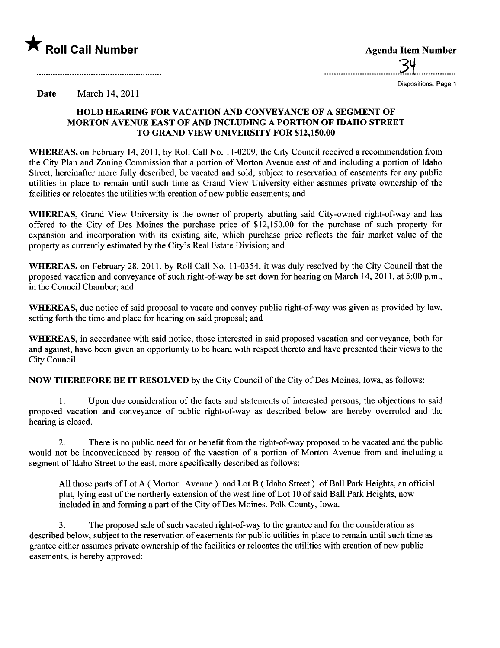

\_\_\_\_\_\_\_\_\_\_\_\_\_\_\_\_\_\_\_\_\_\_\_\_\_\_\_\_\_\_\_\_3~\_..\_\_\_.......\_\_..

Dispositions: Page 1

Date<sub>\_\_\_\_\_</sub> March 14, 2011\_\_\_\_\_\_

## HOLD HEARING FOR VACATION AND CONVEYANCE OF A SEGMENT OF MORTON AVENUE EAST OF AND INCLUDING A PORTION OF IDAHO STREET TO GRAND VIEW UNIVERSITY FOR \$12,150.00

WHEREAS, on February 14, 2011, by Roll Call No. 11-0209, the City Council received a recommendation from the City Plan and Zoning Commission that a portion of Morton Avenue east of and including a portion of Idaho Street, hereinafter more fully described, be vacated and sold, subject to reservation of easements for any public utilities in place to remain until such time as Grand View University either assumes private ownership of the facilities or relocates the utilities with creation of new public easements; and

WHEREAS, Grand View University is the owner of property abutting said City-owned right-of-way and has offered to the City of Des Moines the purchase price of  $$12,150.00$  for the purchase of such property for expansion and incorporation with its existing site, which purchase price reflects the fair market value of the property as currently estimated by the City's Real Estate Division; and

WHEREAS, on February 28,2011, by Roll Call No. 11-0354, it was duly resolved by the City Council that the proposed vacation and conveyance of such right-of-way be set down for hearing on March 14, 2011, at 5 :00 p.m., in the Council Chamber; and

WHEREAS, due notice of said proposal to vacate and convey public right-of-way was given as provided by law, setting forth the time and place for hearing on said proposal; and

WHEREAS, in accordance with said notice, those interested in said proposed vacation and conveyance, both for and against, have been given an opportunity to be heard with respect thereto and have presented their views to the City CounciL.

NOW THEREFORE BE IT RESOLVED by the City Council of the City of Des Moines, Iowa, as follows:

1. Upon due consideration of the facts and statements of interested persons, the objections to said proposed vacation and conveyance of public right-of-way as described below are hereby overruled and the hearing is closed.

2. There is no public need for or benefit from the right-of-way proposed to be vacated and the public would not be inconvenienced by reason of the vacation of a portion of Morton Avenue from and including a segment of Idaho Street to the east, more specifically described as follows:

All those parts of Lot A (Morton Avenue) and Lot B (Idaho Street) of Ball Park Heights, an official plat, lying east of the northerly extension of the west line of Lot 10 of said Ball Park Heights, now included in and forming a part of the City of Des Moines, Polk County, Iowa.

3. The proposed sale of such vacated right-of-way to the grantee and for the consideration as described below, subject to the reservation of easements for public utilities in place to remain until such time as grantee either assumes private ownership of the facilities or relocates the utilties with creation of new public easements, is hereby approved: